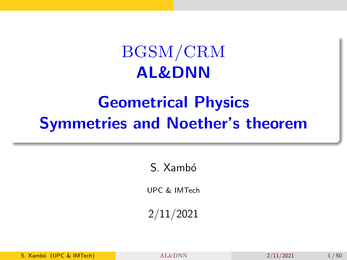## BGSM/CRM AL&DNN

## <span id="page-0-0"></span>Geometrical Physics Symmetries and Noether's theorem

S. Xambó

UPC & IMTech

2/11/2021

S. Xambó (UPC & IMTech) [AL&DNN](#page-49-0) 2/11/2021 1/50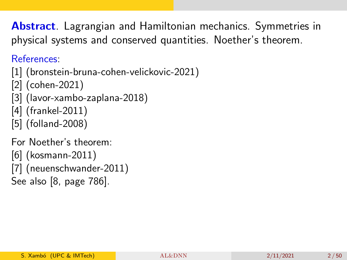Abstract. Lagrangian and Hamiltonian mechanics. Symmetries in physical systems and conserved quantities. Noether's theorem.

References:

- [\[1\]](#page-46-0) (bronstein-bruna-cohen-velickovic-2021)
- [\[2\]](#page-46-1) (cohen-2021)
- [\[3\]](#page-46-2) (lavor-xambo-zaplana-2018)
- [\[4\]](#page-46-3) (frankel-2011)
- [\[5\]](#page-47-0) (folland-2008)

For Noether's theorem:

[\[6\]](#page-47-1) (kosmann-2011) [\[7\]](#page-47-2) (neuenschwander-2011) See also [\[8,](#page-48-0) page 786].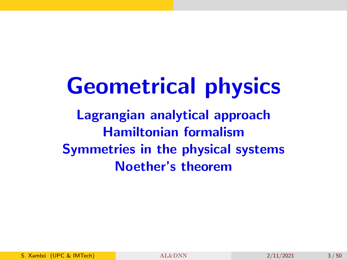## Geometrical physics

Lagrangian analytical approach Hamiltonian formalism Symmetries in the physical systems Noether's theorem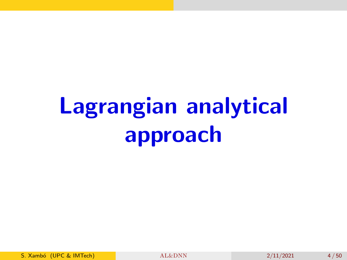## Lagrangian analytical approach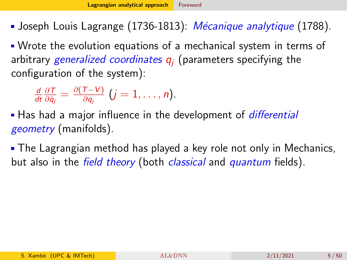<span id="page-4-0"></span>Joseph Louis Lagrange  $(1736-1813)$ : *Mécanique analytique* (1788).

Wrote the evolution equations of a mechanical system in terms of arbitrary generalized coordinates  $q_i$  (parameters specifying the configuration of the system):

$$
\frac{d}{dt}\frac{\partial T}{\partial \dot{q}_j}=\frac{\partial (T-V)}{\partial q_j}\ (j=1,\ldots,n).
$$

**Has had a major influence in the development of** *differential* geometry (manifolds).

The Lagrangian method has played a key role not only in Mechanics, but also in the field theory (both classical and quantum fields).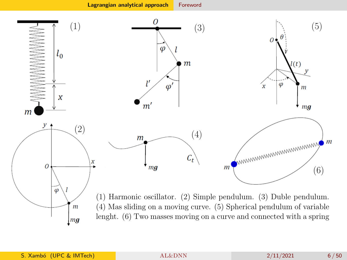[Lagrangian analytical approach](#page-4-0) [Foreword](#page-4-0)



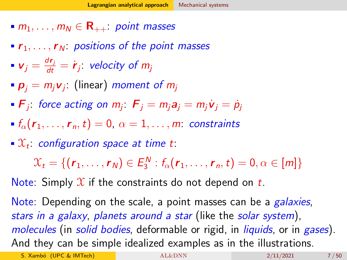- <span id="page-6-0"></span> $m_1, \ldots, m_N \in \mathbf{R}_{++}$  point masses
- $\mathbf{r}_1, \ldots, \mathbf{r}_N$ : positions of the point masses
- $v_j = \frac{dr_j}{dt} = \dot{r}_j$ : velocity of m<sub>j</sub>
- $\boldsymbol{p}_j = m_j \boldsymbol{v}_j$ : (linear) *moment of*  $m_j$
- $\bm{F}_j$  force acting on  $m_j$  :  $\bm{F}_j = m_j \bm{a}_j = m_j \dot{\bm{\mathsf{v}}}_j = \dot{\bm{\mathsf{p}}}_j$
- $f_{\alpha}(r_1,\ldots,r_n,t)=0, \ \alpha=1,\ldots,m$ : constraints
- $\mathfrak{X}_t$  configuration space at time t:

 $\mathcal{X}_t = \{ (r_1, \ldots, r_N) \in E_3^N : f_\alpha(r_1, \ldots, r_n, t) = 0, \alpha \in [m] \}$ 

Note: Simply  $\mathfrak X$  if the constraints do not depend on t.

Note: Depending on the scale, a point masses can be a *galaxies*, stars in a galaxy, planets around a star (like the solar system), molecules (in solid bodies, deformable or rigid, in liquids, or in gases). And they can be simple idealized examples as in the illustrations.

S. Xambó (UPC & IMTech) [AL&DNN](#page-0-0) 2/11/2021 7/50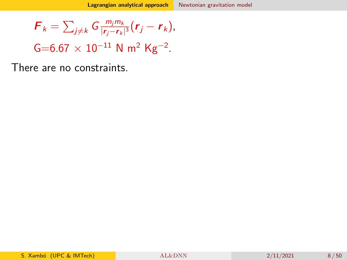<span id="page-7-0"></span>
$$
\boldsymbol{F}_k = \sum_{j \neq k} G \frac{m_j m_k}{|\boldsymbol{r}_j - \boldsymbol{r}_k|^3} (\boldsymbol{r}_j - \boldsymbol{r}_k),
$$

 $G=6.67 \times 10^{-11}$  N m<sup>2</sup> Kg<sup>-2</sup>.

There are no constraints.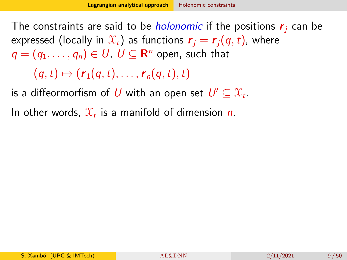<span id="page-8-0"></span>The constraints are said to be *holonomic* if the positions  $r_i$  can be expressed (locally in  $\mathcal{X}_t$ ) as functions  $\mathbf{r}_i = \mathbf{r}_i(\mathbf{q},t)$ , where  $\pmb{q} = \left( q_1, \ldots, q_n \right) \in \pmb{U}, \; \pmb{U} \subseteq \mathbf{R}^n$  open, such that

 $(q, t) \mapsto (r_1(q, t), \ldots, r_n(q, t), t)$ 

is a diffeormorfism of  $U$  with an open set  $U' \subseteq {\mathfrak X}_t.$ 

In other words,  $\mathfrak{X}_t$  is a manifold of dimension n.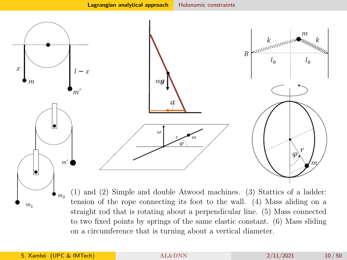

(1) and (2) Simple and double Atwood machines. (3) Stattics of a ladder:  $\bullet$ <sub>m<sub>2</sub></sub> tension of the rope connecting its foot to the wall. (4) Mass aliding on a straight rod that is rotating about a perpendicular line. (5) Mass connected to two fixed points by springs of the same elastic constant. (6) Mass sliding on a circumference that is turning about a vertical diameter.

 $m<sub>1</sub>$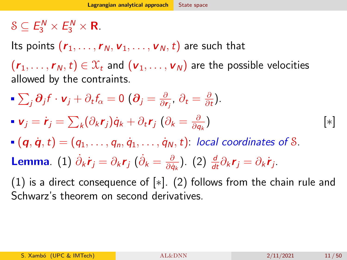#### <span id="page-10-0"></span> $S \subseteq E_3^N \times E_3^N \times \mathbf{R}$ .

Its points  $(r_1, \ldots, r_N, v_1, \ldots, v_N, t)$  are such that

 $(r_1, \ldots, r_N,t) \in \mathcal{X}_t$  and  $(\mathbf{v}_1, \ldots, \mathbf{v}_N)$  are the possible velocities allowed by the contraints.

- $\sum_j \boldsymbol{\partial}_j f \cdot \textbf{v}_j + \partial_t f_\alpha = 0$   $(\boldsymbol{\partial}_j = \frac{\partial}{\partial \textbf{\textit{r}}})$  $\frac{\partial}{\partial \textbf{r}_j}$ ,  $\partial_t = \frac{\partial}{\partial \textit{i}}$  $\frac{\partial}{\partial t}$ .
- ${\bm v}_j = \dot{\bm r}_j = \sum_k (\partial_k {\bm r}_j) \dot{\bm q}_k + \partial_t {\bm r}_j \; (\partial_k = \frac{\partial}{\partial {\bm q}_j})$ ∂q<sup>k</sup> ) [∗]
- $(q, \dot{q}, t) = (q_1, \ldots, q_n, \dot{q}_1, \ldots, \dot{q}_N, t)$ : local coordinates of S.
- Lemma.  $(1)$   $\dot{\partial}_k \dot{\bm{r}}_j = \partial_k \bm{r}_j$   $(\dot{\partial}_k = \frac{\partial}{\partial \dot{\theta}})$  $\frac{\partial}{\partial \dot{q}_k}$ ). (2)  $\frac{d}{dt}\partial_k \mathbf{r}_j = \partial_k \dot{\mathbf{r}}_j$ .

(1) is a direct consequence of [∗]. (2) follows from the chain rule and Schwarz's theorem on second derivatives.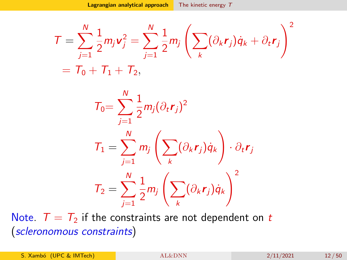<span id="page-11-0"></span>
$$
T = \sum_{j=1}^N \frac{1}{2} m_j \mathbf{v}_j^2 = \sum_{j=1}^N \frac{1}{2} m_j \left( \sum_k (\partial_k \mathbf{r}_j) \dot{q}_k + \partial_t \mathbf{r}_j \right)^2
$$
  
=  $T_0 + T_1 + T_2$ ,

$$
T_0 = \sum_{j=1}^N \frac{1}{2} m_j (\partial_t \mathbf{r}_j)^2
$$
  
\n
$$
T_1 = \sum_{j=1}^N m_j \left( \sum_k (\partial_k \mathbf{r}_j) \dot{q}_k \right) \cdot \partial_t \mathbf{r}_j
$$
  
\n
$$
T_2 = \sum_{j=1}^N \frac{1}{2} m_j \left( \sum_k (\partial_k \mathbf{r}_j) \dot{q}_k \right)^2
$$

Note.  $T = T_2$  if the constraints are not dependent on t (scleronomous constraints)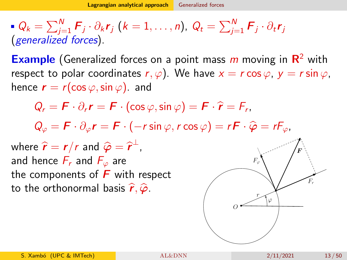<span id="page-12-0"></span> $Q_k = \sum_{j=1}^N \bm{F}_j \cdot \partial_k \bm{r}_j \ (k=1,\ldots,n), \ Q_t = \sum_{j=1}^N \bm{F}_j \cdot \partial_t \bm{r}_j$ (generalized forces).

**Example** (Generalized forces on a point mass  $m$  moving in  $\mathbb{R}^2$  with respect to polar coordinates  $r, \varphi$ ). We have  $x = r \cos \varphi$ ,  $y = r \sin \varphi$ , hence  $\mathbf{r} = r(\cos \varphi, \sin \varphi)$ . and

$$
Q_r = \boldsymbol{F} \cdot \partial_r \boldsymbol{r} = \boldsymbol{F} \cdot (\cos \varphi, \sin \varphi) = \boldsymbol{F} \cdot \hat{\boldsymbol{r}} = F_r,
$$

 $Q_{\varphi} = \boldsymbol{F} \cdot \partial_{\varphi} \boldsymbol{r} = \boldsymbol{F} \cdot (-r \sin \varphi, r \cos \varphi) = r \boldsymbol{F} \cdot \hat{\boldsymbol{\varphi}} = r \boldsymbol{F}_{\varphi},$ 

where  $\hat{r} = r/r$  and  $\hat{\varphi} = \hat{r}^{\perp}$ ,<br>and bence  $F$  and  $F$  are and hence  $F_r$  and  $F_\varphi$  are the components of  $\boldsymbol{F}$  with respect to the orthonormal basis  $\hat{r}, \hat{\varphi}$ .

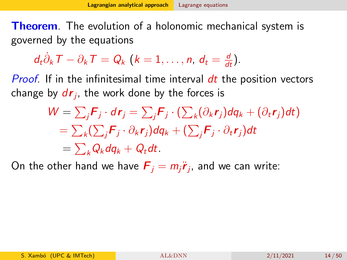<span id="page-13-0"></span>**Theorem.** The evolution of a holonomic mechanical system is governed by the equations

$$
d_t\dot{\partial}_k T - \partial_k T = Q_k \ (k = 1, \ldots, n, d_t = \frac{d}{dt}).
$$

Proof. If in the infinitesimal time interval dt the position vectors change by  $d\bm{r}_j$ , the work done by the forces is

$$
W = \sum_{j} \mathbf{F}_{j} \cdot d\mathbf{r}_{j} = \sum_{j} \mathbf{F}_{j} \cdot (\sum_{k} (\partial_{k} \mathbf{r}_{j}) d q_{k} + (\partial_{t} \mathbf{r}_{j}) dt)
$$
  
=  $\sum_{k} (\sum_{j} \mathbf{F}_{j} \cdot \partial_{k} \mathbf{r}_{j}) d q_{k} + (\sum_{j} \mathbf{F}_{j} \cdot \partial_{t} \mathbf{r}_{j}) dt$   
=  $\sum_{k} Q_{k} d q_{k} + Q_{t} dt$ .

On the other hand we have  $\boldsymbol{F}_j = m_j \ddot{\boldsymbol{r}}_j$ , and we can write: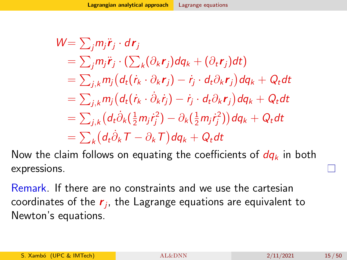$$
W = \sum_{j} m_{j} \ddot{\mathbf{r}}_{j} \cdot d\mathbf{r}_{j}
$$
  
\n
$$
= \sum_{j} m_{j} \ddot{\mathbf{r}}_{j} \cdot (\sum_{k} (\partial_{k} \mathbf{r}_{j}) d q_{k} + (\partial_{t} \mathbf{r}_{j}) dt)
$$
  
\n
$$
= \sum_{j,k} m_{j} (d_{t} (\dot{\mathbf{r}}_{k} \cdot \partial_{k} \mathbf{r}_{j}) - \dot{\mathbf{r}}_{j} \cdot d_{t} \partial_{k} \mathbf{r}_{j}) d q_{k} + Q_{t} dt
$$
  
\n
$$
= \sum_{j,k} m_{j} (d_{t} (\dot{\mathbf{r}}_{k} \cdot \dot{\partial}_{k} \dot{\mathbf{r}}_{j}) - \dot{\mathbf{r}}_{j} \cdot d_{t} \partial_{k} \mathbf{r}_{j}) d q_{k} + Q_{t} dt
$$
  
\n
$$
= \sum_{j,k} (d_{t} \dot{\partial}_{k} (\frac{1}{2} m_{j} \dot{\mathbf{r}}_{j}^{2}) - \partial_{k} (\frac{1}{2} m_{j} \dot{\mathbf{r}}_{j}^{2})) d q_{k} + Q_{t} dt
$$
  
\n
$$
= \sum_{k} (d_{t} \dot{\partial}_{k} \mathbf{T} - \partial_{k} \mathbf{T}) d q_{k} + Q_{t} dt
$$

Now the claim follows on equating the coefficients of  $dq_k$  in both expressions.

Remark. If there are no constraints and we use the cartesian coordinates of the  $\bm{r}_j$ , the Lagrange equations are equivalent to Newton's equations.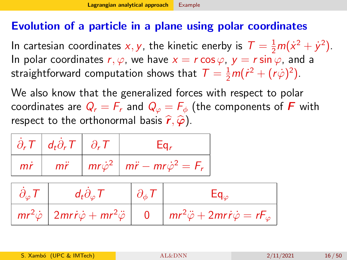#### <span id="page-15-0"></span>Evolution of a particle in a plane using polar coordinates

In cartesian coordinates x, y, the kinetic enerby is  $T = \frac{1}{2}m(\dot{x}^2 + \dot{y}^2)$ . In polar coordinates  $r, \varphi$ , we have  $x = r \cos \varphi$ ,  $y = r \sin \varphi$ , and a straightforward computation shows that  $\mathcal{T} = \frac{1}{2}m(\dot{r}^2 + (r\dot{\varphi})^2)$ .

We also know that the generalized forces with respect to polar coordinates are  $Q_r = F_r$  and  $Q_\varphi = F_\phi$  (the components of F with respect to the orthonormal basis  $\hat{r}, \hat{\varphi}$ ).

|    | $\partial_r T \mid d_t \partial_r T \mid \partial_r T$ | Łα.                                                          |
|----|--------------------------------------------------------|--------------------------------------------------------------|
| mř | $m\ddot{r}$                                            | $mr\dot{\varphi}^2 \mid m\ddot{r} - mr\dot{\varphi}^2 = F_r$ |

| $d_t \partial_\varphi T$                                                        | $\partial_{\phi} T$ |                                                           |
|---------------------------------------------------------------------------------|---------------------|-----------------------------------------------------------|
| $mr^2\dot{\varphi}$ 2mri $\dot{\varphi}$ + mr <sup>2</sup> $\ddot{\varphi}$   0 |                     | $mr^2\ddot{\varphi}+2mr\dot{r}\dot{\varphi}=rF_{\varphi}$ |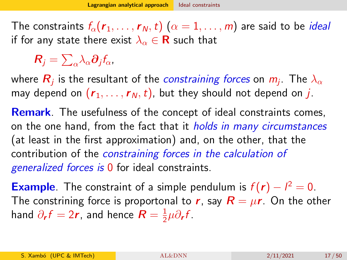<span id="page-16-0"></span>The constraints  $f_{\alpha}(r_1, \ldots, r_N, t)$   $(\alpha = 1, \ldots, m)$  are said to be *ideal* if for any state there exist  $\lambda_{\alpha} \in \mathbf{R}$  such that

 $\bm{R}_j = \sum_\alpha \lambda_\alpha \bm{\partial}_j f_\alpha$ 

where  $\boldsymbol{R}_j$  is the resultant of the *constraining forces* on  $m_j$ . The  $\lambda_\alpha$ may depend on  $(r_1, \ldots, r_N, t)$ , but they should not depend on j.

**Remark**. The usefulness of the concept of ideal constraints comes, on the one hand, from the fact that it *holds in many circumstances* (at least in the first approximation) and, on the other, that the contribution of the constraining forces in the calculation of generalized forces is 0 for ideal constraints.

**Example**. The constraint of a simple pendulum is  $f(r) - l^2 = 0$ . The constrining force is proportonal to r, say  $R = \mu r$ . On the other hand  $\partial_{\bm r} f = 2\bm r$ , and hence  $\bm R = \frac{1}{2}$  $\frac{1}{2}\mu\partial_{\bm{r}}f$ .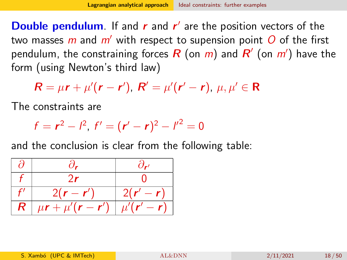<span id="page-17-0"></span>**Double pendulum**. If and  $r$  and  $r'$  are the position vectors of the two masses m and  $m'$  with respect to supension point O of the first pendulum, the constraining forces  $\bm{R}$  (on  $m)$  and  $\bm{R}'$  (on  $m'$ ) have the form (using Newton's third law)

 $R = \mu r + \mu'(r - r')$ ,  $R' = \mu'(r' - r)$ ,  $\mu, \mu' \in R$ 

The constraints are

$$
f = r^2 - l^2, \ f' = (r' - r)^2 - l'^2 = 0
$$

and the conclusion is clear from the following table:

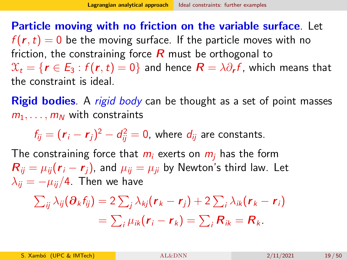Particle moving with no friction on the variable surface. Let  $f(r,t) = 0$  be the moving surface. If the particle moves with no friction, the constraining force  $R$  must be orthogonal to  $\mathfrak{X}_t = \{\pmb{r} \in \pmb{E}_3 : f(\pmb{r},t) = 0\}$  and hence  $\pmb{R} = \lambda \partial_{\pmb{r}} f$ , which means that the constraint is ideal.

**Rigid bodies**. A rigid body can be thought as a set of point masses  $m_1, \ldots, m_N$  with constraints

 $f_{ij}=(\bm{r}_i-\bm{r}_j)^2-d_{ij}^2=0$ , where  $d_{ij}$  are constants.

The constraining force that  $m_i$  exerts on  $m_i$  has the form  $R_{ii} = \mu_{ii}(\mathbf{r}_i - \mathbf{r}_i)$ , and  $\mu_{ii} = \mu_{ii}$  by Newton's third law. Let  $\lambda_{ii} = -\mu_{ii}/4$ . Then we have

$$
\sum_{ij} \lambda_{ij} (\partial_k f_{ij}) = 2 \sum_j \lambda_{kj} (\mathbf{r}_k - \mathbf{r}_j) + 2 \sum_i \lambda_{ik} (\mathbf{r}_k - \mathbf{r}_i)
$$
  
= 
$$
\sum_i \mu_{ik} (\mathbf{r}_i - \mathbf{r}_k) = \sum_i \mathbf{R}_{ik} = \mathbf{R}_k.
$$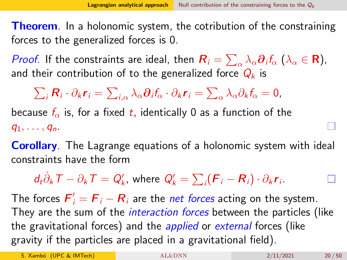<span id="page-19-0"></span>**Theorem.** In a holonomic system, the cotribution of the constraining forces to the generalized forces is 0.

*Proof*. If the constraints are ideal, then  $R_i = \sum_\alpha \lambda_\alpha \partial_i f_\alpha$   $(\lambda_\alpha \in \mathbf{R})$ , and their contribution of to the generalized force  $Q_k$  is

 $\sum_i \bm{R}_i \cdot \partial_k \bm{r}_i = \sum_{i,\alpha} \lambda_\alpha \bm{\partial}_i f_\alpha \cdot \partial_k \bm{r}_i = \sum_\alpha \lambda_\alpha \partial_k f_\alpha = \bm{0},$ 

because  $f_{\alpha}$  is, for a fixed t, identically 0 as a function of the  $q_1, \ldots, q_n$ .

**Corollary.** The Lagrange equations of a holonomic system with ideal constraints have the form

 $d_t\dot{\partial}_k \mathcal{T} - \partial_k \mathcal{T} = \mathcal{Q}'_k$ , where  $\mathcal{Q}'_k = \sum_i (\mathcal{F}_i - \mathcal{R}_i) \cdot \partial_k \mathcal{r}_i$ .

The forces  $\boldsymbol{F}_i' = \boldsymbol{F}_i - \boldsymbol{R}_i$  are the *net forces* acting on the system. They are the sum of the *interaction forces* between the particles (like the gravitational forces) and the *applied* or external forces (like gravity if the particles are placed in a gravitational field).

S. Xambó (UPC & IMTech) 4L&DNN 2/11/2021 20/50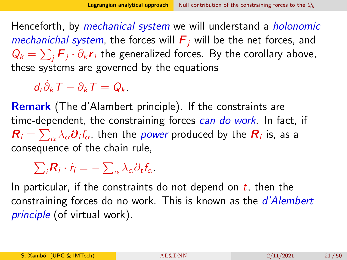Henceforth, by *mechanical system* we will understand a *holonomic* mechanichal system, the forces will  $F_i$  will be the net forces, and  $Q_k = \sum_j \boldsymbol{F}_j \cdot \partial_k \boldsymbol{r}_i$  the generalized forces. By the corollary above, these systems are governed by the equations

 $d_t \dot{\partial}_k T - \partial_k T = Q_k.$ 

Remark (The d'Alambert principle). If the constraints are time-dependent, the constraining forces can do work. In fact, if  $\bm{R}_i = \sum_\alpha \lambda_\alpha \bm{\partial}_i f_\alpha$ , then the *power* produced by the  $\bm{R}_i$  is, as a consequence of the chain rule,

 $\sum_i \mathbf{R}_i \cdot \dot{\mathbf{r}}_i = -\sum_\alpha \lambda_\alpha \partial_t \mathbf{f}_\alpha.$ 

In particular, if the constraints do not depend on  $t$ , then the constraining forces do no work. This is known as the *d'Alembert* principle (of virtual work).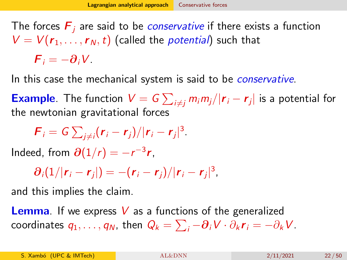<span id="page-21-0"></span>The forces  $\boldsymbol{F}_i$  are said to be *conservative* if there exists a function  $V = V(r_1, \ldots, r_N, t)$  (called the *potential*) such that  $\mathbf{F} = -\partial_i V$ .

In this case the mechanical system is said to be *conservative*.

**Example**. The function  $V = G \sum_{i \neq j} m_i m_j / | \bm{r}_i - \bm{r}_j |$  is a potential for the newtonian gravitational forces

$$
\boldsymbol{F}_i = \boldsymbol{G} \sum_{j \neq i} (\boldsymbol{r}_i - \boldsymbol{r}_j)/|\boldsymbol{r}_i - \boldsymbol{r}_j|^3.
$$

Indeed, from  $\partial(1/r) = -r^{-3}r$ ,

$$
\partial_i(1/|\mathbf{r}_i-\mathbf{r}_j|) = -(\mathbf{r}_i-\mathbf{r}_j)/|\mathbf{r}_i-\mathbf{r}_j|^3,
$$

and this implies the claim.

**Lemma**. If we express V as a functions of the generalized coordinates  $q_1,\ldots,q_N$ , then  $Q_k=\sum_i -\bm{\partial}_i V\cdot \partial_k \bm{r}_i=-\partial_k V$ .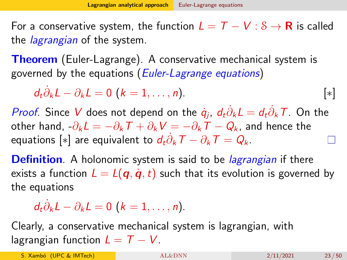<span id="page-22-0"></span>For a conservative system, the function  $L = T - V : S \rightarrow \mathbf{R}$  is called the *lagrangian* of the system.

**Theorem** (Euler-Lagrange). A conservative mechanical system is governed by the equations (Euler-Lagrange equations)

$$
d_t \dot{\partial}_k L - \partial_k L = 0 \ (k = 1, \ldots, n). \qquad [\ast]
$$

*Proof*. Since V does not depend on the  $\dot{q}_j$ ,  $d_t\dot{\partial}_k L = d_t\dot{\partial}_k T$ . On the other hand,  $-\partial_k L = -\partial_k T + \partial_k V = -\partial_k T - Q_k$ , and hence the equations  $[*]$  are equivalent to  $d_t\dot{\partial}_k \mathcal{T}-\partial_k \mathcal{T} = \mathcal{Q}_k$ .

**Definition**. A holonomic system is said to be *lagrangian* if there exists a function  $L = L(q, \dot{q}, t)$  such that its evolution is governed by the equations

$$
d_t \dot{\partial}_k L - \partial_k L = 0 \ (k = 1, \ldots, n).
$$

Clearly, a conservative mechanical system is lagrangian, with lagrangian function  $L = T - V$ .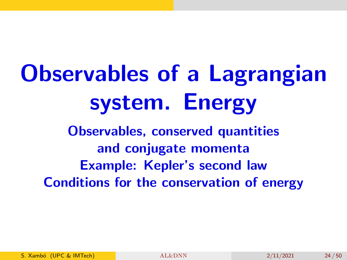# Observables of a Lagrangian system. Energy

Observables, conserved quantities and conjugate momenta Example: Kepler's second law Conditions for the conservation of energy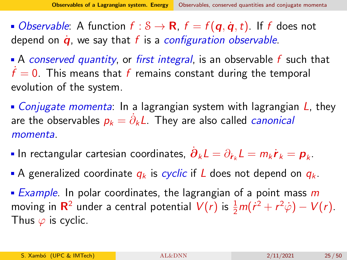<span id="page-24-0"></span>• Observable: A function  $f : \mathcal{S} \to \mathbf{R}$ ,  $f = f(\mathbf{q}, \dot{\mathbf{q}}, t)$ . If f does not depend on  $\dot{q}$ , we say that f is a configuration observable.

A conserved quantity, or first integral, is an observable  $f$  such that  $\dot{f}=0$ . This means that  $f$  remains constant during the temporal evolution of the system.

• *Conjugate momenta*: In a lagrangian system with lagrangian  $L$ , they are the observables  $p_k = \dot{\partial}_k L$ . They are also called *canonical* momenta.

- In rectangular cartesian coordinates,  $\dot{\bm{\partial}}_k L = \partial_{\dot{\bm{r}}_k} L = m_k \dot{\bm{r}}_k = \bm{p}_k.$
- A generalized coordinate  $q_k$  is cyclic if L does not depend on  $q_k$ .
- **Example.** In polar coordinates, the lagrangian of a point mass  $m$ moving in  $\mathbf{R}^2$  under a central potential  $V(r)$  is  $\frac{1}{2}m(\dot{r}^2+r^2\dot{\varphi})-V(r)$ . Thus  $\varphi$  is cyclic.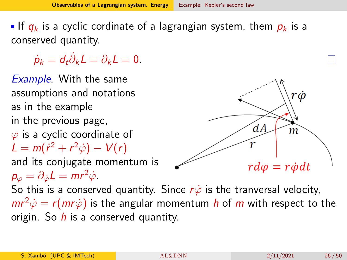<span id="page-25-0"></span>If  $q_k$  is a cyclic cordinate of a lagrangian system, them  $p_k$  is a conserved quantity.

 $\dot{\rho}_k = d_t \dot{\partial}_k L = \partial_k L = 0.$ 

Example. With the same assumptions and notations rώ as in the example in the previous page,  $dA$  $m$  $\varphi$  is a cyclic coordinate of  $L = m(\dot{r}^2 + r^2\dot{\varphi}) - V(r)$ and its conjugate momentum is  $r d\varphi = r \dot{\varphi} dt$  $p_{\varphi} = \partial_{\dot{\varphi}} L = mr^2 \dot{\varphi}$ . So this is a conserved quantity. Since  $r\dot{\varphi}$  is the tranversal velocity,  $mr^2\dot{\varphi} = r(mr\dot{\varphi})$  is the angular momentum h of m with respect to the origin. So  $h$  is a conserved quantity.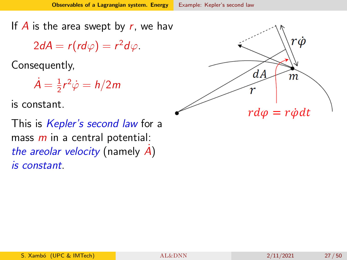<span id="page-26-0"></span>If  $\overline{A}$  is the area swept by  $r$ , we have

 $2dA = r(r d\varphi) = r^2 d\varphi.$ 

Consequently,

 $\dot{A}=\frac{1}{2}$  $\frac{1}{2}r^2\dot{\varphi}=h/2m$ 

is constant.

This is *Kepler's second law* for a mass  $m$  in a central potential: the areolar velocity (namely  $\vec{A}$ ) is constant.

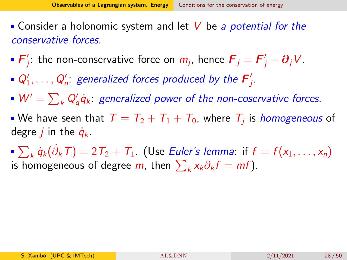- <span id="page-27-0"></span>**Consider a holonomic system and let V be a potential for the** conservative forces.
- $\bm{\mathsf{F}}'_i$  $j'_{j}$ : the non-conservative force on  $m_{j}$ , hence  $\boldsymbol{F}_{j}=\boldsymbol{F}'_{j}-\boldsymbol{\partial}_{j}V.$
- $Q'_1, \ldots, Q'_n$ : generalized forces produced by the  $\boldsymbol{\mathsf{F}}'_j$ j .
- $W' = \sum_{k} Q'_{q} \dot{q}_{k}$ : generalized power of the non-coservative forces.
- We have seen that  $\mathcal{T} = \mathcal{T}_2 + \mathcal{T}_1 + \mathcal{T}_0$ , where  $\mathcal{T}_j$  is *homogeneous* of degre *j* in the  $\dot{q}_k$ .
- $\sum_{k} \dot{q}_k(\dot{\partial}_k T) = 2\,T_2 + \,T_1.$  (Use Euler's lemma: if  $f = f(x_1, \ldots, x_n)$ is homogeneous of degree  $m$ , then  $\sum_k x_k \partial_k f = m f$ ).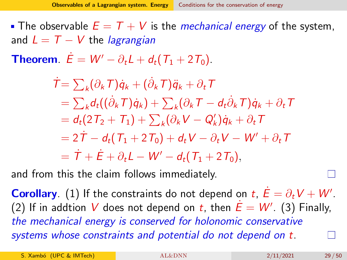• The observable  $E = T + V$  is the *mechanical energy* of the system, and  $L = T - V$  the *lagrangian* 

**Theorem**.  $\dot{E} = W' - \partial_t L + d_t (T_1 + 2T_0)$ .

$$
\dot{\mathcal{T}} = \sum_{k} (\partial_{k} \mathcal{T}) \dot{q}_{k} + (\dot{\partial}_{k} \mathcal{T}) \ddot{q}_{k} + \partial_{t} \mathcal{T}
$$
\n
$$
= \sum_{k} d_{t} ((\dot{\partial}_{k} \mathcal{T}) \dot{q}_{k}) + \sum_{k} (\partial_{k} \mathcal{T} - d_{t} \dot{\partial}_{k} \mathcal{T}) \dot{q}_{k} + \partial_{t} \mathcal{T}
$$
\n
$$
= d_{t} (2 \mathcal{T}_{2} + \mathcal{T}_{1}) + \sum_{k} (\partial_{k} \mathcal{V} - \mathcal{Q}_{k}') \dot{q}_{k} + \partial_{t} \mathcal{T}
$$
\n
$$
= 2 \dot{\mathcal{T}} - d_{t} (\mathcal{T}_{1} + 2 \mathcal{T}_{0}) + d_{t} \mathcal{V} - \partial_{t} \mathcal{V} - \mathcal{W}' + \partial_{t} \mathcal{T}
$$
\n
$$
= \dot{\mathcal{T}} + \dot{\mathcal{E}} + \partial_{t} \mathcal{L} - \mathcal{W}' - d_{t} (\mathcal{T}_{1} + 2 \mathcal{T}_{0}),
$$

and from this the claim follows immediately.

**Corollary**. (1) If the constraints do not depend on  $t$ ,  $\dot{E} = \partial_t V + W'$ . (2) If in addtion V does not depend on t, then  $\dot{E} = W'$ . (3) Finally, the mechanical energy is conserved for holonomic conservative systems whose constraints and potential do not depend on t.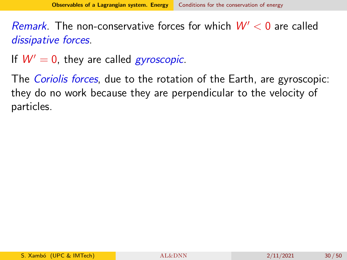Remark. The non-conservative forces for which  $W' < 0$  are called dissipative forces.

If  $W' = 0$ , they are called *gyroscopic*.

The *Coriolis forces*, due to the rotation of the Earth, are gyroscopic: they do no work because they are perpendicular to the velocity of particles.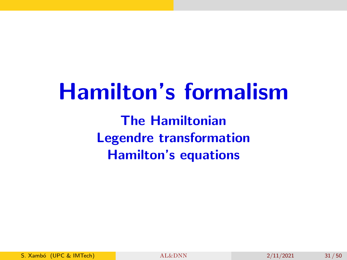## Hamilton's formalism

The Hamiltonian Legendre transformation Hamilton's equations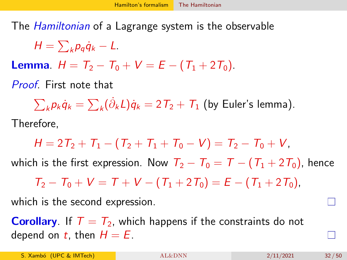<span id="page-31-0"></span>The *Hamiltonian* of a Lagrange system is the observable

$$
H=\sum_{k}p_{q}\dot{q}_{k}-L.
$$

**Lemma**.  $H = T_2 - T_0 + V = E - (T_1 + 2T_0)$ .

Proof. First note that

 $\sum_k p_k \dot{q}_k = \sum_k (\dot{\partial}_k L) \dot{q}_k = 2\, T_2 + \, T_1$  (by Euler's lemma).

Therefore,

$$
H = 2T_2 + T_1 - (T_2 + T_1 + T_0 - V) = T_2 - T_0 + V,
$$

which is the first expression. Now  $T_2 - T_0 = T - (T_1 + 2T_0)$ , hence

 $T_2 - T_0 + V = T + V - (T_1 + 2T_0) = E - (T_1 + 2T_0)$ 

which is the second expression.

**Corollary**. If  $T = T_2$ , which happens if the constraints do not depend on t, then  $H = E$ .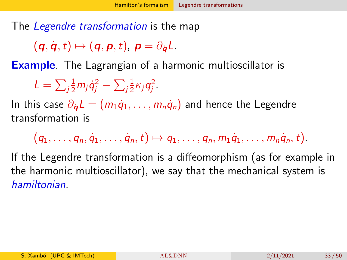<span id="page-32-0"></span>The *Legendre transformation* is the map

 $(q, \dot{q}, t) \mapsto (q, p, t), p = \partial_{\dot{q}}L.$ 

Example. The Lagrangian of a harmonic multioscillator is

 $L=\sum_j$  $\frac{1}{2}$ m $_j$  $\dot{q}_j^2 - \sum_j$ 1  $\frac{1}{2}\kappa_j q_j^2$ .

In this case  $\partial_{\dot{a}} L = (m_1 \dot{q}_1, \ldots, m_n \dot{q}_n)$  and hence the Legendre transformation is

 $(q_1, \ldots, q_n, \dot{q}_1, \ldots, \dot{q}_n, t) \mapsto q_1, \ldots, q_n, m_1 \dot{q}_1, \ldots, m_n \dot{q}_n, t).$ 

If the Legendre transformation is a diffeomorphism (as for example in the harmonic multioscillator), we say that the mechanical system is hamiltonian.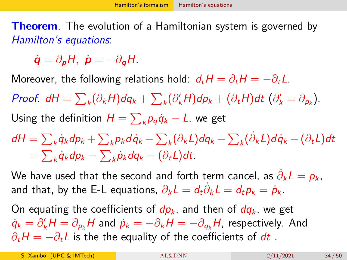<span id="page-33-0"></span>**Theorem.** The evolution of a Hamiltonian system is governed by Hamilton's equations:

 $\dot{\mathbf{q}} = \partial_{\mathbf{n}}H, \ \dot{\mathbf{p}} = -\partial_{\mathbf{q}}H.$ 

Moreover, the following relations hold:  $d_tH = \partial_tH = -\partial_tL$ .

Proof.  $dH = \sum_k (\partial_k H) dq_k + \sum_k (\partial'_k H) dp_k + (\partial_t H) dt$   $(\partial'_k = \partial_{p_k})$ .

Using the definition  $H = \sum_k p_q \dot{q}_k - L$ , we get

dH  $=\sum_k\dot{q}_kdp_k+\sum_k p_kd\dot{q}_k-\sum_k(\partial_kL)dq_k-\sum_k(\dot{\partial}_kL)d\dot{q}_k-(\partial_tL)dt$  $=\sum_k\dot{q}_kdp_k-\sum_k\dot{p}_k dq_k-(\partial_tL)dt.$ 

We have used that the second and forth term cancel, as  $\dot{\partial}_k L = p_k$ , and that, by the E-L equations,  $\partial_k L = d_t \dot{\partial}_k L = d_t p_k = \dot{p}_k$ .

On equating the coefficients of  $dp_k$ , and then of  $dq_k$ , we get  $\dot{q}_k = \partial'_k H = \partial_{p_k} H$  and  $\dot{p}_k = -\partial_k H = -\partial_{q_k} H$ , respectively. And  $\partial_t H = -\partial_t L$  is the the equality of the coefficients of dt.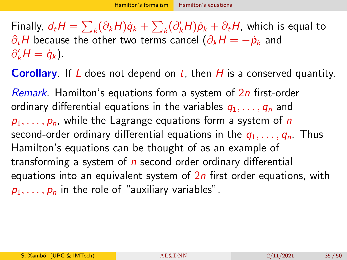Finally,  $d_t H = \sum_k (\partial_k H) \dot{q}_k + \sum_k (\partial'_k H) \dot{p}_k + \partial_t H$ , which is equal to  $\partial_t H$  because the other two terms cancel  $(\partial_k H = -\dot{p}_k$  and  $\partial'_{k}H = \dot{q}_{k}$ .

**Corollary**. If L does not depend on  $t$ , then H is a conserved quantity.

Remark. Hamilton's equations form a system of 2n first-order ordinary differential equations in the variables  $q_1, \ldots, q_n$  and  $p_1, \ldots, p_n$ , while the Lagrange equations form a system of n second-order ordinary differential equations in the  $q_1, \ldots, q_n$ . Thus Hamilton's equations can be thought of as an example of transforming a system of  $n$  second order ordinary differential equations into an equivalent system of  $2n$  first order equations, with  $p_1, \ldots, p_n$  in the role of "auxiliary variables".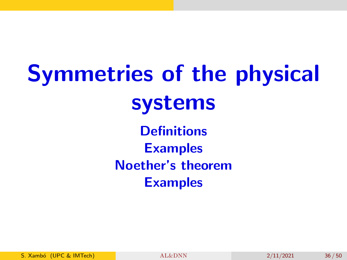Symmetries of the physical systems **Definitions Examples** Noether's theorem

Examples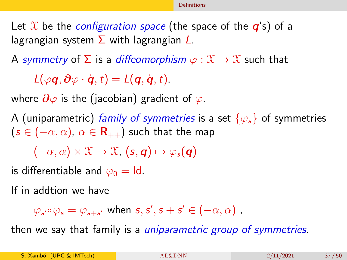<span id="page-36-0"></span>Let X be the *configuration space* (the space of the  $q$ 's) of a lagrangian system  $\Sigma$  with lagrangian  $\mathcal{L}$ .

A symmetry of  $\Sigma$  is a diffeomorphism  $\varphi : \mathfrak{X} \to \mathfrak{X}$  such that

 $L(\varphi \mathbf{q}, \partial \varphi \cdot \dot{\mathbf{q}}, t) = L(\mathbf{q}, \dot{\mathbf{q}}, t),$ 

where  $\partial \varphi$  is the (jacobian) gradient of  $\varphi$ .

A (uniparametric) family of symmetries is a set  $\{\varphi_s\}$  of symmetries  $(s \in (-\alpha, \alpha), \alpha \in \mathbf{R}_{++})$  such that the map

 $(-\alpha, \alpha) \times \mathfrak{X} \to \mathfrak{X}$ ,  $(s, q) \mapsto \varphi_s(q)$ 

is differentiable and  $\varphi_0 = \text{Id}$ .

If in addtion we have

 $\varphi_{\mathsf{s}'}\circ\varphi_{\mathsf{s}}=\varphi_{\mathsf{s}+\mathsf{s}'}$  when  $\mathsf{s},\mathsf{s}',\mathsf{s}+\mathsf{s}'\in(-\alpha,\alpha)$  ,

then we say that family is a *uniparametric group of symmetries*.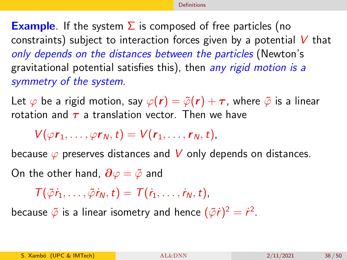**Example.** If the system  $\Sigma$  is composed of free particles (no constraints) subject to interaction forces given by a potential  $V$  that only depends on the distances between the particles (Newton's gravitational potential satisfies this), then any rigid motion is a symmetry of the system.

Let  $\varphi$  be a rigid motion, say  $\varphi(r) = \tilde{\varphi}(r) + \tau$ , where  $\tilde{\varphi}$  is a linear rotation and  $\tau$  a translation vector. Then we have

 $V(\varphi r_1, \ldots, \varphi r_N, t) = V(r_1, \ldots, r_N, t),$ 

because  $\varphi$  preserves distances and V only depends on distances. On the other hand,  $\partial \varphi = \tilde{\varphi}$  and

 $T(\tilde{\varphi}\dot{r}_1,\ldots,\tilde{\varphi}\dot{r}_N,t)=T(\dot{r}_1,\ldots,\dot{r}_N,t),$ 

because  $\tilde{\varphi}$  is a linear isometry and hence  $(\tilde{\varphi}t)^2 = \dot{r}^2$ .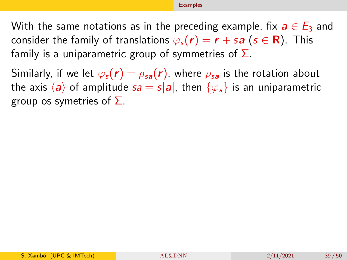#### [Examples](#page-38-0)

<span id="page-38-0"></span>With the same notations as in the preceding example, fix  $a \in E_3$  and consider the family of translations  $\varphi_s(\mathbf{r}) = \mathbf{r} + s\mathbf{a}$  ( $s \in \mathbf{R}$ ). This family is a uniparametric group of symmetries of  $\Sigma$ .

Similarly, if we let  $\varphi_s(\mathbf{r}) = \rho_{sa}(\mathbf{r})$ , where  $\rho_{sa}$  is the rotation about the axis  $\langle a \rangle$  of amplitude  $sa = s|a|$ , then  $\{\varphi_s\}$  is an uniparametric group os symetries of  $\Sigma$ .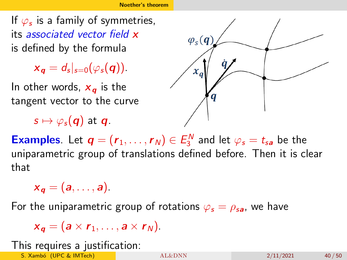<span id="page-39-0"></span>If  $\varphi_{\bm{s}}$  is a family of symmetries, its associated vector field x is defined by the formula

 $x_{\mathbf{q}}=d_{s}|_{s=0}(\varphi_{s}(\mathbf{q})).$ 

In other words,  $x_a$  is the tangent vector to the curve

$$
s\mapsto \varphi_s(\boldsymbol{q})\text{ at }\boldsymbol{q}.
$$



**Examples**. Let  $\boldsymbol{q} = (\boldsymbol{r}_1, \ldots, \boldsymbol{r}_N) \in E_3^N$  and let  $\varphi_s = t_{sa}$  be the uniparametric group of translations defined before. Then it is clear that

 $x_{\alpha} = (a, \ldots, a).$ 

For the uniparametric group of rotations  $\varphi_s = \rho_{sa}$ , we have

 $x_a = (a \times r_1, \ldots, a \times r_N).$ 

#### This requires a justification:

S. Xambó (UPC & IMTech) [AL&DNN](#page-0-0) 2/11/2021 40 / 50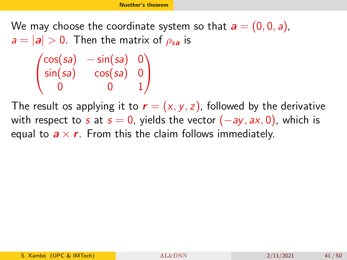0 0 1

We may choose the coordinate system so that  $a = (0, 0, a)$ ,  $a = |a| > 0$ . Then the matrix of  $\rho_{sa}$  is  $\sqrt{ }$  $cos(sa) - sin(sa)$  0 sin(*sa*) cos(*sa*) 0  $\setminus$ 

 $\overline{1}$ 

The result os applying it to  $\mathbf{r} = (x, y, z)$ , followed by the derivative with respect to s at  $s = 0$ , yields the vector  $(-ay, ax, 0)$ , which is equal to  $a \times r$ . From this the claim follows immediately.

 $\mathcal{L}$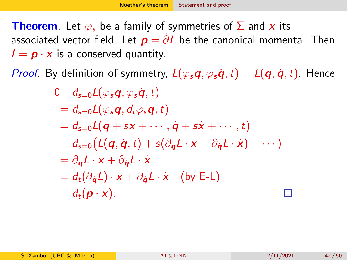<span id="page-41-0"></span>**Theorem**. Let  $\varphi_s$  be a family of symmetries of  $\Sigma$  and x its associated vector field. Let  $\mathbf{p} = \partial L$  be the canonical momenta. Then  $I = p \cdot x$  is a conserved quantity.

*Proof.* By definition of symmetry,  $L(\varphi_s \mathbf{q}, \varphi_s \dot{\mathbf{q}}, t) = L(\mathbf{q}, \dot{\mathbf{q}}, t)$ . Hence

$$
0 = d_{s=0}L(\varphi_s \mathbf{q}, \varphi_s \dot{\mathbf{q}}, t)
$$
  
\n
$$
= d_{s=0}L(\varphi_s \mathbf{q}, d_t \varphi_s \mathbf{q}, t)
$$
  
\n
$$
= d_{s=0}L(\mathbf{q} + s\mathbf{x} + \cdots, \dot{\mathbf{q}} + s\dot{\mathbf{x}} + \cdots, t)
$$
  
\n
$$
= d_{s=0}(L(\mathbf{q}, \dot{\mathbf{q}}, t) + s(\partial_{\mathbf{q}}L \cdot \mathbf{x} + \partial_{\dot{\mathbf{q}}}L \cdot \dot{\mathbf{x}}) + \cdots)
$$
  
\n
$$
= \partial_{\mathbf{q}}L \cdot \mathbf{x} + \partial_{\dot{\mathbf{q}}}L \cdot \dot{\mathbf{x}}
$$
  
\n
$$
= d_t(\partial_{\dot{\mathbf{q}}}L) \cdot \mathbf{x} + \partial_{\dot{\mathbf{q}}}L \cdot \dot{\mathbf{x}} \quad \text{(by E-L)}
$$
  
\n
$$
= d_t(\mathbf{p} \cdot \mathbf{x}).
$$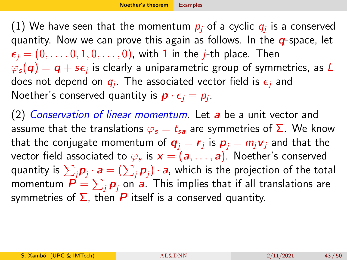<span id="page-42-0"></span>(1) We have seen that the momentum  $\rho_j$  of a cyclic  $q_j$  is a conserved quantity. Now we can prove this again as follows. In the  $q$ -space, let  $\epsilon_i = (0, \ldots, 0, 1, 0, \ldots, 0)$ , with 1 in the *j*-th place. Then  $\varphi_{\bm{s}}(\bm{q})=\bm{q}+\bm{s}\bm{\epsilon}_j$  is clearly a uniparametric group of symmetries, as  $L$ does not depend on  $q_j$ . The associated vector field is  $\epsilon_j$  and Noether's conserved quantity is  $\boldsymbol{p} \cdot \boldsymbol{\epsilon}_j = p_j$ .

(2) Conservation of linear momentum. Let a be a unit vector and assume that the translations  $\varphi_s = t_{sa}$  are symmetries of  $\Sigma$ . We know that the conjugate momentum of  $\boldsymbol{q}_j=\boldsymbol{r}_j$  is  $\boldsymbol{p}_j=m_j\boldsymbol{\nu}_j$  and that the vector field associated to  $\varphi_{\bm{s}}$  is  $\bm{x}=(\bm{a},\dots,\bm{a})$ . Noether's conserved quantity is  $\sum_j\bm{\rho}_j\cdot\bm{a}=(\sum_j\bm{\rho}_j)\cdot\bm{a}$ , which is the projection of the total momentum  $\boldsymbol{P} = \sum_j \boldsymbol{p}_j$  on  $\boldsymbol{a}$ . This implies that if all translations are symmetries of  $\Sigma$ , then P itself is a conserved quantity.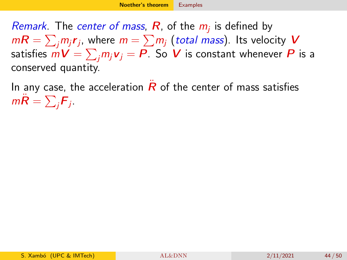*Remark*. The *center of mass*,  $R$ , of the  $m_j$  is defined by  $m\bm{R}=\sum_j m_j \bm{r}_j$ , where  $m=\sum m_j$  (total mass). Its velocity  $\bm{V}$ satisfies  $m\bm{V}=\sum_j m_j\bm{v}_j=\bm{P}$ . So  $\bm{V}$  is constant whenever  $\bm{P}$  is a conserved quantity.

In any case, the acceleration  $R$  of the center of mass satisfies m $\ddot{\bm{R}} = \sum_j \bm{F}_j$  .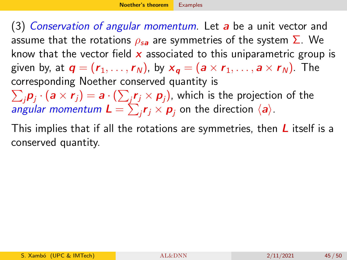(3) Conservation of angular momentum. Let a be a unit vector and assume that the rotations  $\rho_{sa}$  are symmetries of the system  $\Sigma$ . We know that the vector field  $x$  associated to this uniparametric group is given by, at  $\mathbf{q} = (\mathbf{r}_1, \dots, \mathbf{r}_N)$ , by  $\mathbf{x}_\mathbf{q} = (\mathbf{a} \times \mathbf{r}_1, \dots, \mathbf{a} \times \mathbf{r}_N)$ . The corresponding Noether conserved quantity is  $\sum_j \bmsymbol{p}_j \cdot (\bm{a} \times \bm{r}_j) = \bm{a} \cdot (\sum_j \bm{r}_j \times \bm{p}_j),$  which is the projection of the *angular momentum*  $\bm{L} = \sum_j \bm{r}_j \times \bm{p}_j$  *on the direction*  $\langle \bm{a} \rangle$ *.* 

This implies that if all the rotations are symmetries, then  *itself is a* conserved quantity.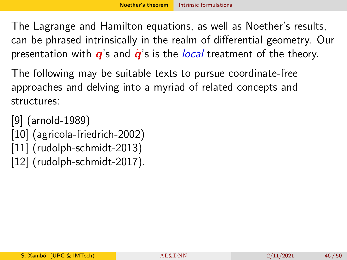<span id="page-45-0"></span>The Lagrange and Hamilton equations, as well as Noether's results, can be phrased intrinsically in the realm of differential geometry. Our presentation with  $q$ 's and  $\dot{q}$ 's is the *local* treatment of the theory.

The following may be suitable texts to pursue coordinate-free approaches and delving into a myriad of related concepts and structures:

[\[9\]](#page-48-1) (arnold-1989) [\[10\]](#page-48-2) (agricola-friedrich-2002) [\[11\]](#page-49-1) (rudolph-schmidt-2013) [\[12\]](#page-49-2) (rudolph-schmidt-2017).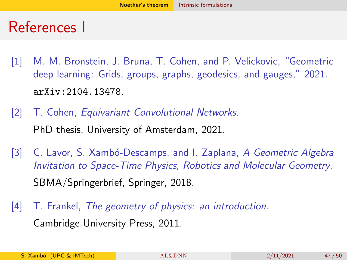### References I

- <span id="page-46-0"></span>[1] M. M. Bronstein, J. Bruna, T. Cohen, and P. Velickovic, "Geometric deep learning: Grids, groups, graphs, geodesics, and gauges," 2021. <arXiv:2104.13478>.
- <span id="page-46-1"></span>[2] T. Cohen, *Equivariant Convolutional Networks*. PhD thesis, University of Amsterdam, 2021.
- <span id="page-46-2"></span>[3] C. Lavor, S. Xambó-Descamps, and I. Zaplana, A Geometric Algebra Invitation to Space-Time Physics, Robotics and Molecular Geometry. SBMA/Springerbrief, Springer, 2018.
- <span id="page-46-3"></span>[4] T. Frankel, The geometry of physics: an introduction. Cambridge University Press, 2011.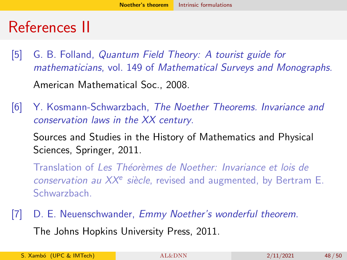### References II

- <span id="page-47-0"></span>[5] G. B. Folland, Quantum Field Theory: A tourist guide for mathematicians, vol. 149 of Mathematical Surveys and Monographs. American Mathematical Soc., 2008.
- <span id="page-47-1"></span>[6] Y. Kosmann-Schwarzbach, The Noether Theorems. Invariance and conservation laws in the XX century.

Sources and Studies in the History of Mathematics and Physical Sciences, Springer, 2011.

Translation of Les Théorèmes de Noether: Invariance et lois de conservation au  $XX<sup>e</sup>$  siècle, revised and augmented, by Bertram E. Schwarzbach.

<span id="page-47-2"></span>[7] D. E. Neuenschwander, Emmy Noether's wonderful theorem. The Johns Hopkins University Press, 2011.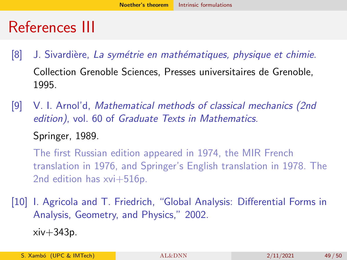## References III

- <span id="page-48-0"></span>[8] J. Sivardière, La symétrie en mathématiques, physique et chimie. Collection Grenoble Sciences, Presses universitaires de Grenoble, 1995.
- <span id="page-48-1"></span>[9] V. I. Arnol'd, Mathematical methods of classical mechanics (2nd edition), vol. 60 of Graduate Texts in Mathematics. Springer, 1989.

The first Russian edition appeared in 1974, the MIR French translation in 1976, and Springer's English translation in 1978. The 2nd edition has xvi+516p.

<span id="page-48-2"></span>[10] I. Agricola and T. Friedrich, "Global Analysis: Differential Forms in Analysis, Geometry, and Physics," 2002.  $xiv+343p.$